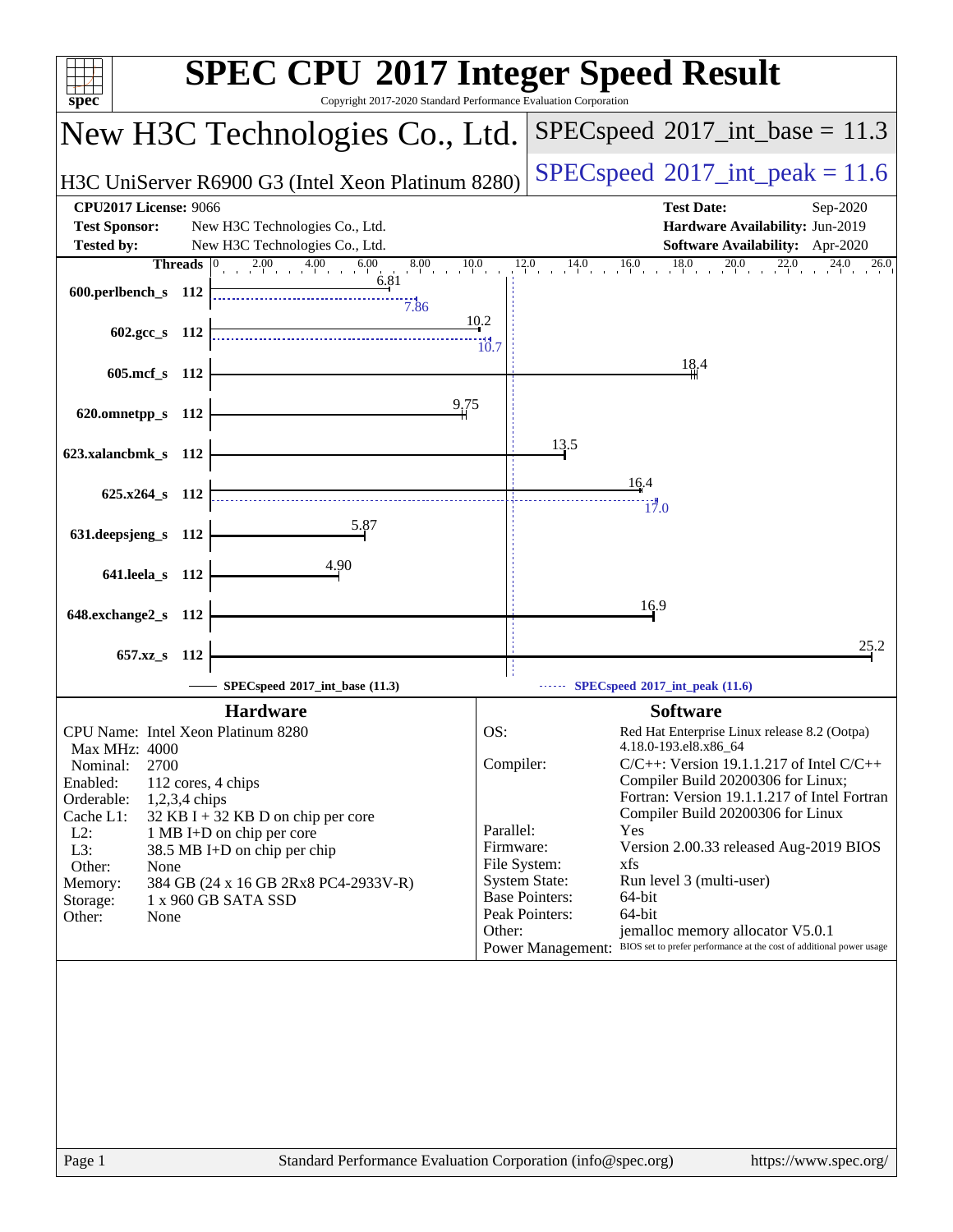| spec <sup>®</sup>                                                                                          | <b>SPEC CPU®2017 Integer Speed Result</b><br>Copyright 2017-2020 Standard Performance Evaluation Corporation                         |
|------------------------------------------------------------------------------------------------------------|--------------------------------------------------------------------------------------------------------------------------------------|
| New H3C Technologies Co., Ltd.                                                                             | $SPEC speed^{\circ}2017\_int\_base = 11.3$                                                                                           |
| H3C UniServer R6900 G3 (Intel Xeon Platinum 8280)                                                          | $SPEC speed^{\circ}2017\_int\_peak = 11.6$                                                                                           |
| <b>CPU2017 License: 9066</b>                                                                               | <b>Test Date:</b><br>Sep-2020                                                                                                        |
| <b>Test Sponsor:</b><br>New H3C Technologies Co., Ltd.                                                     | Hardware Availability: Jun-2019                                                                                                      |
| <b>Tested by:</b><br>New H3C Technologies Co., Ltd.<br>$2.00$ $4.00$ $6$<br>6.00<br>8.00<br><b>Threads</b> | Software Availability: Apr-2020<br>$12.0$ $14.0$ $16.0$ $18.0$ $20.0$ $22.0$<br>10.0<br>$24.0$ $26.0$                                |
| and the com-<br>6.81<br>600.perlbench_s 112<br>7.86                                                        |                                                                                                                                      |
| 602.gcc_s 112                                                                                              | 10.2<br>$\frac{11}{10.7}$                                                                                                            |
| 605.mcf_s 112                                                                                              | 18.4                                                                                                                                 |
| 9,75<br>620.omnetpp_s 112                                                                                  |                                                                                                                                      |
| 623.xalancbmk_s 112                                                                                        | 13.5                                                                                                                                 |
| $625.x264$ s 112                                                                                           | 16.4<br>17.0                                                                                                                         |
| 5.87<br>631.deepsjeng_s 112                                                                                |                                                                                                                                      |
| 4.90<br>641.leela_s 112                                                                                    |                                                                                                                                      |
| 648.exchange2_s 112                                                                                        | 16.9                                                                                                                                 |
| 657.xz s 112                                                                                               | 25.2                                                                                                                                 |
| SPECspeed*2017_int_base (11.3)                                                                             | $\cdots$ SPECspeed <sup>®</sup> 2017_int_peak (11.6)                                                                                 |
| <b>Hardware</b>                                                                                            | <b>Software</b>                                                                                                                      |
| CPU Name: Intel Xeon Platinum 8280                                                                         | OS:<br>Red Hat Enterprise Linux release 8.2 (Ootpa)<br>4.18.0-193.el8.x86_64                                                         |
| Max MHz: 4000<br>2700<br>Nominal:                                                                          | Compiler:<br>$C/C++$ : Version 19.1.1.217 of Intel $C/C++$                                                                           |
| Enabled:<br>112 cores, 4 chips                                                                             | Compiler Build 20200306 for Linux;<br>Fortran: Version 19.1.1.217 of Intel Fortran                                                   |
| Orderable:<br>1,2,3,4 chips<br>Cache L1:<br>$32$ KB I + 32 KB D on chip per core                           | Compiler Build 20200306 for Linux                                                                                                    |
| $L2$ :<br>1 MB I+D on chip per core                                                                        | Parallel:<br>Yes<br>Version 2.00.33 released Aug-2019 BIOS                                                                           |
| L3:<br>38.5 MB I+D on chip per chip<br>Other:<br>None                                                      | Firmware:<br>File System:<br>xfs                                                                                                     |
| 384 GB (24 x 16 GB 2Rx8 PC4-2933V-R)<br>Memory:                                                            | <b>System State:</b><br>Run level 3 (multi-user)                                                                                     |
| Storage:<br>1 x 960 GB SATA SSD<br>Other:<br>None                                                          | <b>Base Pointers:</b><br>64-bit<br>Peak Pointers:<br>64-bit                                                                          |
|                                                                                                            | jemalloc memory allocator V5.0.1<br>Other:<br>Power Management: BIOS set to prefer performance at the cost of additional power usage |
|                                                                                                            |                                                                                                                                      |
|                                                                                                            |                                                                                                                                      |
|                                                                                                            |                                                                                                                                      |
|                                                                                                            |                                                                                                                                      |
|                                                                                                            |                                                                                                                                      |
|                                                                                                            |                                                                                                                                      |
|                                                                                                            |                                                                                                                                      |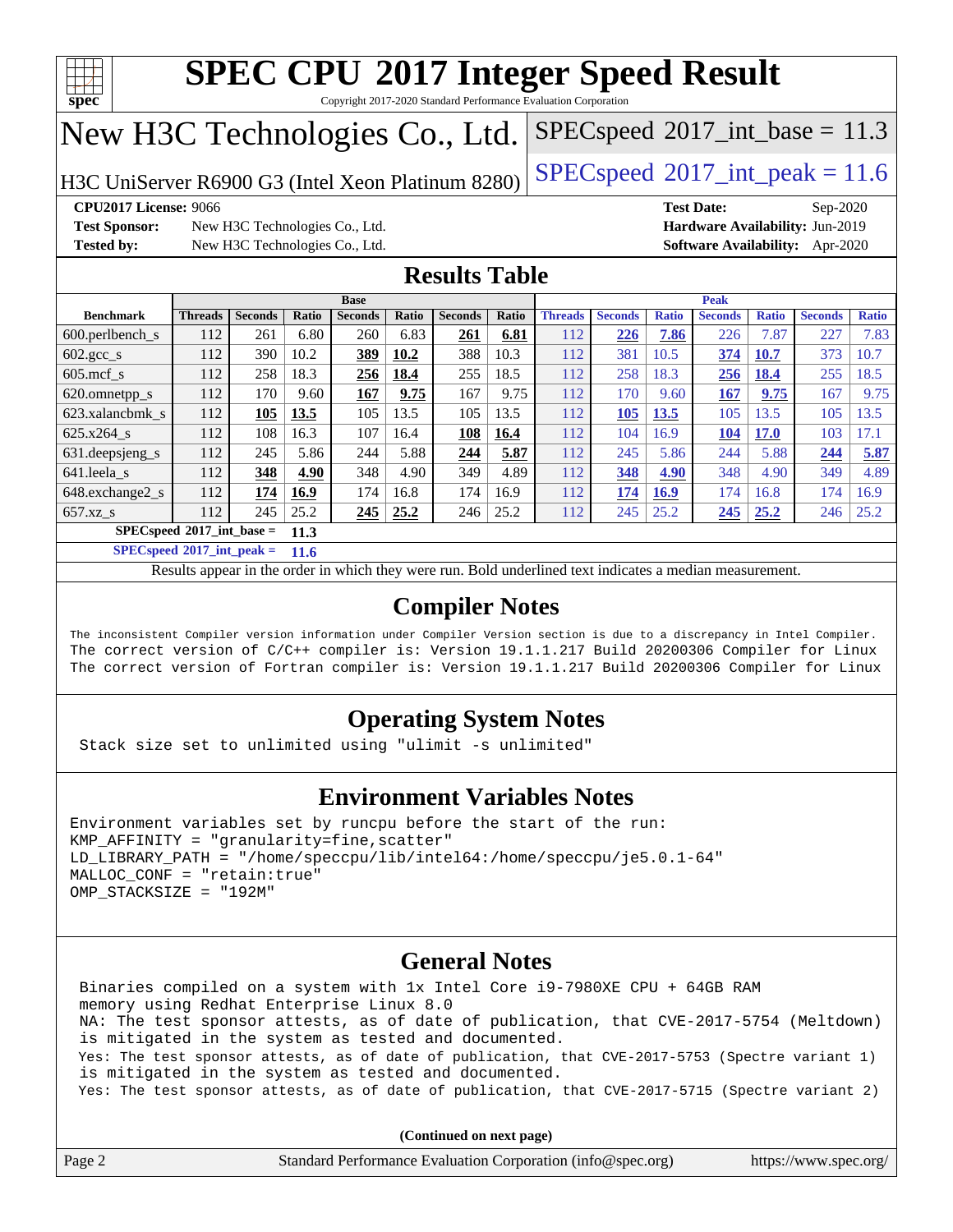

Copyright 2017-2020 Standard Performance Evaluation Corporation

## New H3C Technologies Co., Ltd.

H3C UniServer R6900 G3 (Intel Xeon Platinum 8280) [SPECspeed](http://www.spec.org/auto/cpu2017/Docs/result-fields.html#SPECspeed2017intpeak)®2017\_int\_peak =  $11.6$ 

 $SPECspeed^{\circ}2017\_int\_base = 11.3$  $SPECspeed^{\circ}2017\_int\_base = 11.3$ 

**[Test Sponsor:](http://www.spec.org/auto/cpu2017/Docs/result-fields.html#TestSponsor)** New H3C Technologies Co., Ltd. **[Hardware Availability:](http://www.spec.org/auto/cpu2017/Docs/result-fields.html#HardwareAvailability)** Jun-2019 **[Tested by:](http://www.spec.org/auto/cpu2017/Docs/result-fields.html#Testedby)** New H3C Technologies Co., Ltd. **[Software Availability:](http://www.spec.org/auto/cpu2017/Docs/result-fields.html#SoftwareAvailability)** Apr-2020

**[CPU2017 License:](http://www.spec.org/auto/cpu2017/Docs/result-fields.html#CPU2017License)** 9066 **[Test Date:](http://www.spec.org/auto/cpu2017/Docs/result-fields.html#TestDate)** Sep-2020

### **[Results Table](http://www.spec.org/auto/cpu2017/Docs/result-fields.html#ResultsTable)**

|                                     | <b>Base</b>    |                |       |                |       | <b>Peak</b>    |              |                |                |              |                |              |                |              |
|-------------------------------------|----------------|----------------|-------|----------------|-------|----------------|--------------|----------------|----------------|--------------|----------------|--------------|----------------|--------------|
| <b>Benchmark</b>                    | <b>Threads</b> | <b>Seconds</b> | Ratio | <b>Seconds</b> | Ratio | <b>Seconds</b> | <b>Ratio</b> | <b>Threads</b> | <b>Seconds</b> | <b>Ratio</b> | <b>Seconds</b> | <b>Ratio</b> | <b>Seconds</b> | <b>Ratio</b> |
| $600.$ perlbench s                  | 112            | 261            | 6.80  | 260            | 6.83  | 261            | 6.81         | 112            | 226            | 7.86         | 226            | 7.87         | 227            | 7.83         |
| $602 \text{.} \text{gcc}\text{.}$ s | 112            | 390            | 10.2  | 389            | 10.2  | 388            | 10.3         | 112            | 381            | 10.5         | 374            | 10.7         | 373            | 10.7         |
| $605$ .mcf s                        | 112            | 258            | 18.3  | 256            | 18.4  | 255            | 18.5         | 112            | 258            | 18.3         | 256            | 18.4         | 255            | 18.5         |
| 620.omnetpp_s                       | 112            | 170            | 9.60  | 167            | 9.75  | 167            | 9.75         | 112            | 170            | 9.60         | 167            | 9.75         | 167            | 9.75         |
| 623.xalancbmk s                     | 112            | 105            | 13.5  | 105            | 13.5  | 105            | 13.5         | 112            | 105            | 13.5         | 105            | 13.5         | 105            | 13.5         |
| 625.x264 s                          | 112            | 108            | 16.3  | 107            | 16.4  | 108            | 16.4         | 112            | 104            | 16.9         | 104            | <b>17.0</b>  | 103            | 17.1         |
| 631.deepsjeng_s                     | 112            | 245            | 5.86  | 244            | 5.88  | 244            | 5.87         | 112            | 245            | 5.86         | 244            | 5.88         | 244            | 5.87         |
| 641.leela s                         | 112            | 348            | 4.90  | 348            | 4.90  | 349            | 4.89         | 112            | 348            | 4.90         | 348            | 4.90         | 349            | 4.89         |
| 648.exchange2_s                     | 112            | 174            | 16.9  | 174            | 16.8  | 174            | 16.9         | 112            | 174            | 16.9         | 174            | 16.8         | 174            | 16.9         |
| $657.xz$ s                          | 112            | 245            | 25.2  | 245            | 25.2  | 246            | 25.2         | 112            | 245            | 25.2         | 245            | 25.2         | 246            | 25.2         |
| $SPECspeed*2017$ int base =<br>11.3 |                |                |       |                |       |                |              |                |                |              |                |              |                |              |

**[SPECspeed](http://www.spec.org/auto/cpu2017/Docs/result-fields.html#SPECspeed2017intpeak)[2017\\_int\\_peak =](http://www.spec.org/auto/cpu2017/Docs/result-fields.html#SPECspeed2017intpeak) 11.6**

Results appear in the [order in which they were run.](http://www.spec.org/auto/cpu2017/Docs/result-fields.html#RunOrder) Bold underlined text [indicates a median measurement](http://www.spec.org/auto/cpu2017/Docs/result-fields.html#Median).

### **[Compiler Notes](http://www.spec.org/auto/cpu2017/Docs/result-fields.html#CompilerNotes)**

The inconsistent Compiler version information under Compiler Version section is due to a discrepancy in Intel Compiler. The correct version of C/C++ compiler is: Version 19.1.1.217 Build 20200306 Compiler for Linux The correct version of Fortran compiler is: Version 19.1.1.217 Build 20200306 Compiler for Linux

### **[Operating System Notes](http://www.spec.org/auto/cpu2017/Docs/result-fields.html#OperatingSystemNotes)**

Stack size set to unlimited using "ulimit -s unlimited"

### **[Environment Variables Notes](http://www.spec.org/auto/cpu2017/Docs/result-fields.html#EnvironmentVariablesNotes)**

```
Environment variables set by runcpu before the start of the run:
KMP AFFINITY = "granularity=fine, scatter"
LD_LIBRARY_PATH = "/home/speccpu/lib/intel64:/home/speccpu/je5.0.1-64"
MALLOC_CONF = "retain:true"
OMP_STACKSIZE = "192M"
```
### **[General Notes](http://www.spec.org/auto/cpu2017/Docs/result-fields.html#GeneralNotes)**

 Binaries compiled on a system with 1x Intel Core i9-7980XE CPU + 64GB RAM memory using Redhat Enterprise Linux 8.0 NA: The test sponsor attests, as of date of publication, that CVE-2017-5754 (Meltdown) is mitigated in the system as tested and documented. Yes: The test sponsor attests, as of date of publication, that CVE-2017-5753 (Spectre variant 1) is mitigated in the system as tested and documented. Yes: The test sponsor attests, as of date of publication, that CVE-2017-5715 (Spectre variant 2)

**(Continued on next page)**

| Page | Standard Performance Evaluation Corporation (info@spec.org) | https://www.spec.org/ |
|------|-------------------------------------------------------------|-----------------------|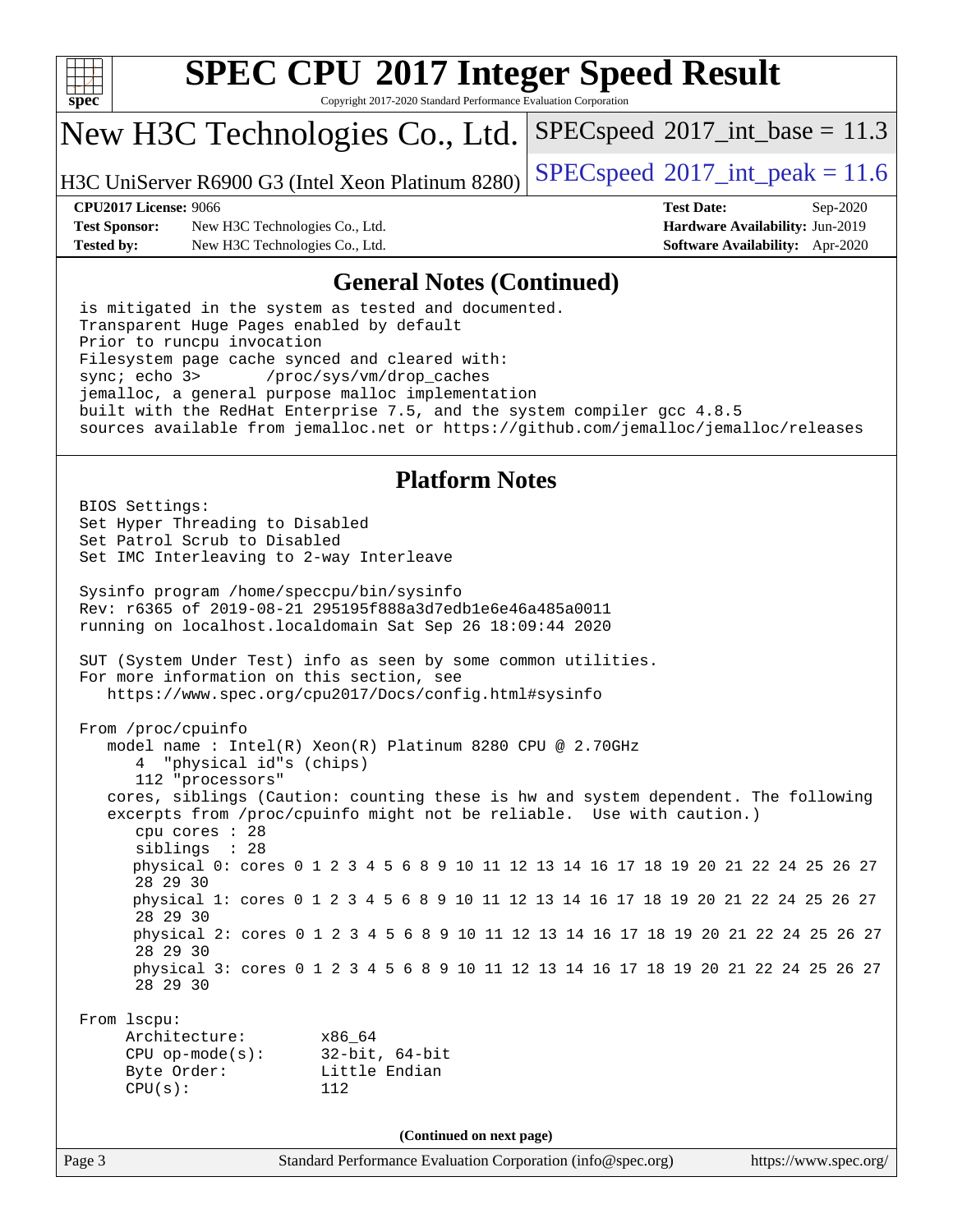

Copyright 2017-2020 Standard Performance Evaluation Corporation

## New H3C Technologies Co., Ltd.

H3C UniServer R6900 G3 (Intel Xeon Platinum 8280) [SPECspeed](http://www.spec.org/auto/cpu2017/Docs/result-fields.html#SPECspeed2017intpeak)®2017\_int\_peak =  $11.6$ 

 $SPECspeed^{\circ}2017\_int\_base = 11.3$  $SPECspeed^{\circ}2017\_int\_base = 11.3$ 

**[Test Sponsor:](http://www.spec.org/auto/cpu2017/Docs/result-fields.html#TestSponsor)** New H3C Technologies Co., Ltd. **[Hardware Availability:](http://www.spec.org/auto/cpu2017/Docs/result-fields.html#HardwareAvailability)** Jun-2019 **[Tested by:](http://www.spec.org/auto/cpu2017/Docs/result-fields.html#Testedby)** New H3C Technologies Co., Ltd. **[Software Availability:](http://www.spec.org/auto/cpu2017/Docs/result-fields.html#SoftwareAvailability)** Apr-2020

**[CPU2017 License:](http://www.spec.org/auto/cpu2017/Docs/result-fields.html#CPU2017License)** 9066 **[Test Date:](http://www.spec.org/auto/cpu2017/Docs/result-fields.html#TestDate)** Sep-2020

#### **[General Notes \(Continued\)](http://www.spec.org/auto/cpu2017/Docs/result-fields.html#GeneralNotes)**

 is mitigated in the system as tested and documented. Transparent Huge Pages enabled by default Prior to runcpu invocation Filesystem page cache synced and cleared with: sync; echo 3> /proc/sys/vm/drop\_caches jemalloc, a general purpose malloc implementation built with the RedHat Enterprise 7.5, and the system compiler gcc 4.8.5 sources available from jemalloc.net or <https://github.com/jemalloc/jemalloc/releases>

### **[Platform Notes](http://www.spec.org/auto/cpu2017/Docs/result-fields.html#PlatformNotes)**

Page 3 Standard Performance Evaluation Corporation [\(info@spec.org\)](mailto:info@spec.org) <https://www.spec.org/> BIOS Settings: Set Hyper Threading to Disabled Set Patrol Scrub to Disabled Set IMC Interleaving to 2-way Interleave Sysinfo program /home/speccpu/bin/sysinfo Rev: r6365 of 2019-08-21 295195f888a3d7edb1e6e46a485a0011 running on localhost.localdomain Sat Sep 26 18:09:44 2020 SUT (System Under Test) info as seen by some common utilities. For more information on this section, see <https://www.spec.org/cpu2017/Docs/config.html#sysinfo> From /proc/cpuinfo model name : Intel(R) Xeon(R) Platinum 8280 CPU @ 2.70GHz 4 "physical id"s (chips) 112 "processors" cores, siblings (Caution: counting these is hw and system dependent. The following excerpts from /proc/cpuinfo might not be reliable. Use with caution.) cpu cores : 28 siblings : 28 physical 0: cores 0 1 2 3 4 5 6 8 9 10 11 12 13 14 16 17 18 19 20 21 22 24 25 26 27 28 29 30 physical 1: cores 0 1 2 3 4 5 6 8 9 10 11 12 13 14 16 17 18 19 20 21 22 24 25 26 27 28 29 30 physical 2: cores 0 1 2 3 4 5 6 8 9 10 11 12 13 14 16 17 18 19 20 21 22 24 25 26 27 28 29 30 physical 3: cores 0 1 2 3 4 5 6 8 9 10 11 12 13 14 16 17 18 19 20 21 22 24 25 26 27 28 29 30 From lscpu: Architecture: x86\_64 CPU op-mode(s): 32-bit, 64-bit Byte Order: Little Endian CPU(s): 112 **(Continued on next page)**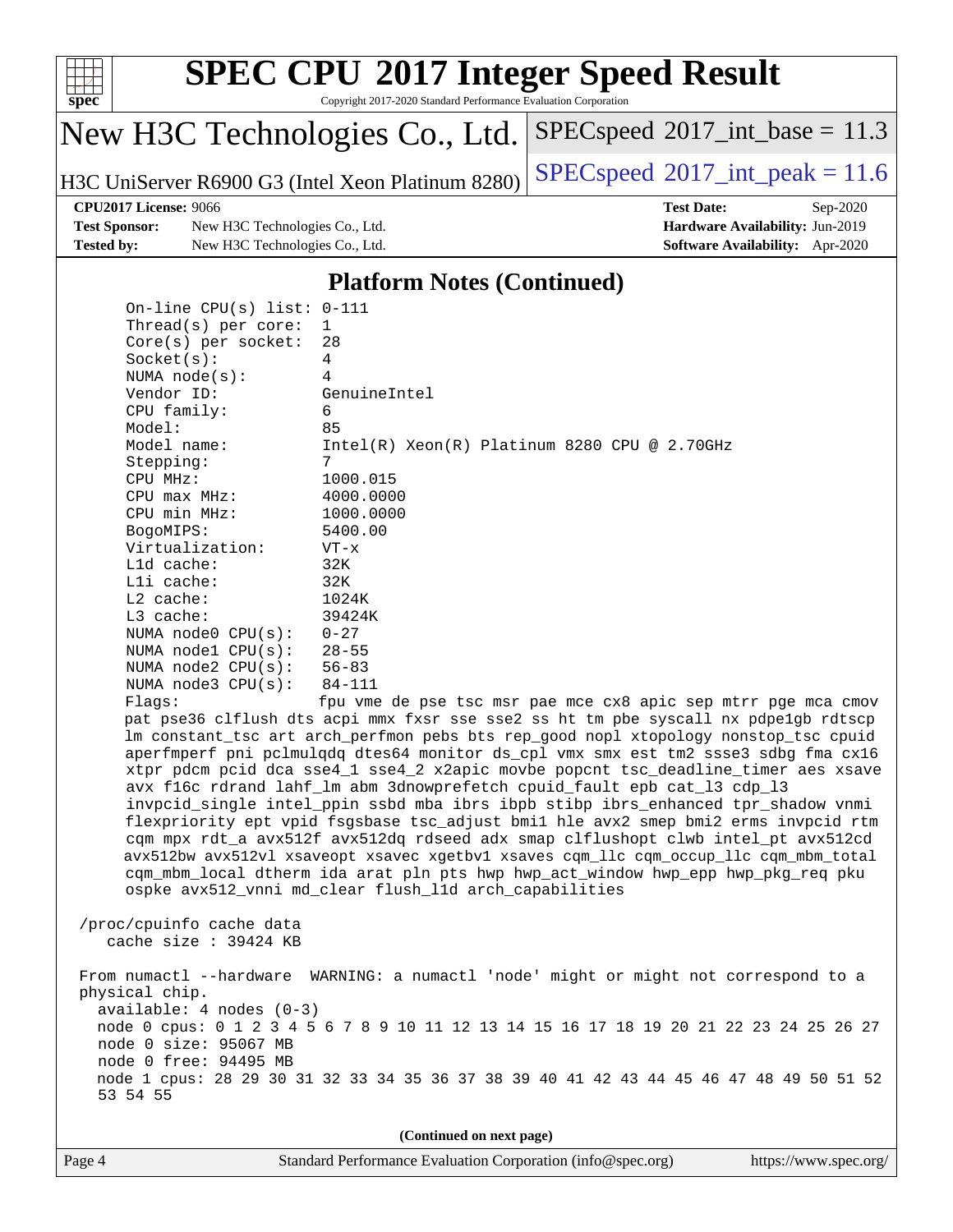

#### **[SPEC CPU](http://www.spec.org/auto/cpu2017/Docs/result-fields.html#SPECCPU2017IntegerSpeedResult)[2017 Integer Speed Result](http://www.spec.org/auto/cpu2017/Docs/result-fields.html#SPECCPU2017IntegerSpeedResult)** Copyright 2017-2020 Standard Performance Evaluation Corporation

 $SPECspeed^{\circ}2017\_int\_base = 11.3$  $SPECspeed^{\circ}2017\_int\_base = 11.3$ 

New H3C Technologies Co., Ltd.

H3C UniServer R6900 G3 (Intel Xeon Platinum 8280) [SPECspeed](http://www.spec.org/auto/cpu2017/Docs/result-fields.html#SPECspeed2017intpeak)®2017\_int\_peak =  $11.6$ 

**[Test Sponsor:](http://www.spec.org/auto/cpu2017/Docs/result-fields.html#TestSponsor)** New H3C Technologies Co., Ltd. **[Hardware Availability:](http://www.spec.org/auto/cpu2017/Docs/result-fields.html#HardwareAvailability)** Jun-2019 **[Tested by:](http://www.spec.org/auto/cpu2017/Docs/result-fields.html#Testedby)** New H3C Technologies Co., Ltd. **[Software Availability:](http://www.spec.org/auto/cpu2017/Docs/result-fields.html#SoftwareAvailability)** Apr-2020

**[CPU2017 License:](http://www.spec.org/auto/cpu2017/Docs/result-fields.html#CPU2017License)** 9066 **[Test Date:](http://www.spec.org/auto/cpu2017/Docs/result-fields.html#TestDate)** Sep-2020

#### **[Platform Notes \(Continued\)](http://www.spec.org/auto/cpu2017/Docs/result-fields.html#PlatformNotes)**

 On-line CPU(s) list: 0-111 Thread(s) per core: 1 Core(s) per socket: 28 Socket(s): 4 NUMA node(s): 4 Vendor ID: GenuineIntel CPU family: 6 Model: 85 Model name: Intel(R) Xeon(R) Platinum 8280 CPU @ 2.70GHz Stepping: 7 CPU MHz: 1000.015 CPU max MHz: 4000.0000 CPU min MHz: 1000.0000 BogoMIPS: 5400.00 Virtualization: VT-x L1d cache: 32K L1i cache: 32K L2 cache: 1024K L3 cache: 39424K NUMA node0 CPU(s): 0-27 NUMA node1 CPU(s): 28-55 NUMA node2 CPU(s): 56-83 NUMA node3 CPU(s): 84-111 Flags: fpu vme de pse tsc msr pae mce cx8 apic sep mtrr pge mca cmov pat pse36 clflush dts acpi mmx fxsr sse sse2 ss ht tm pbe syscall nx pdpe1gb rdtscp lm constant\_tsc art arch\_perfmon pebs bts rep\_good nopl xtopology nonstop\_tsc cpuid aperfmperf pni pclmulqdq dtes64 monitor ds\_cpl vmx smx est tm2 ssse3 sdbg fma cx16 xtpr pdcm pcid dca sse4\_1 sse4\_2 x2apic movbe popcnt tsc\_deadline\_timer aes xsave avx f16c rdrand lahf\_lm abm 3dnowprefetch cpuid\_fault epb cat\_l3 cdp\_l3 invpcid\_single intel\_ppin ssbd mba ibrs ibpb stibp ibrs\_enhanced tpr\_shadow vnmi flexpriority ept vpid fsgsbase tsc\_adjust bmi1 hle avx2 smep bmi2 erms invpcid rtm cqm mpx rdt\_a avx512f avx512dq rdseed adx smap clflushopt clwb intel\_pt avx512cd avx512bw avx512vl xsaveopt xsavec xgetbv1 xsaves cqm\_llc cqm\_occup\_llc cqm\_mbm\_total cqm\_mbm\_local dtherm ida arat pln pts hwp hwp\_act\_window hwp\_epp hwp\_pkg\_req pku ospke avx512\_vnni md\_clear flush\_l1d arch\_capabilities /proc/cpuinfo cache data cache size : 39424 KB From numactl --hardware WARNING: a numactl 'node' might or might not correspond to a physical chip. available: 4 nodes (0-3) node 0 cpus: 0 1 2 3 4 5 6 7 8 9 10 11 12 13 14 15 16 17 18 19 20 21 22 23 24 25 26 27 node 0 size: 95067 MB node 0 free: 94495 MB

 node 1 cpus: 28 29 30 31 32 33 34 35 36 37 38 39 40 41 42 43 44 45 46 47 48 49 50 51 52 53 54 55

**(Continued on next page)**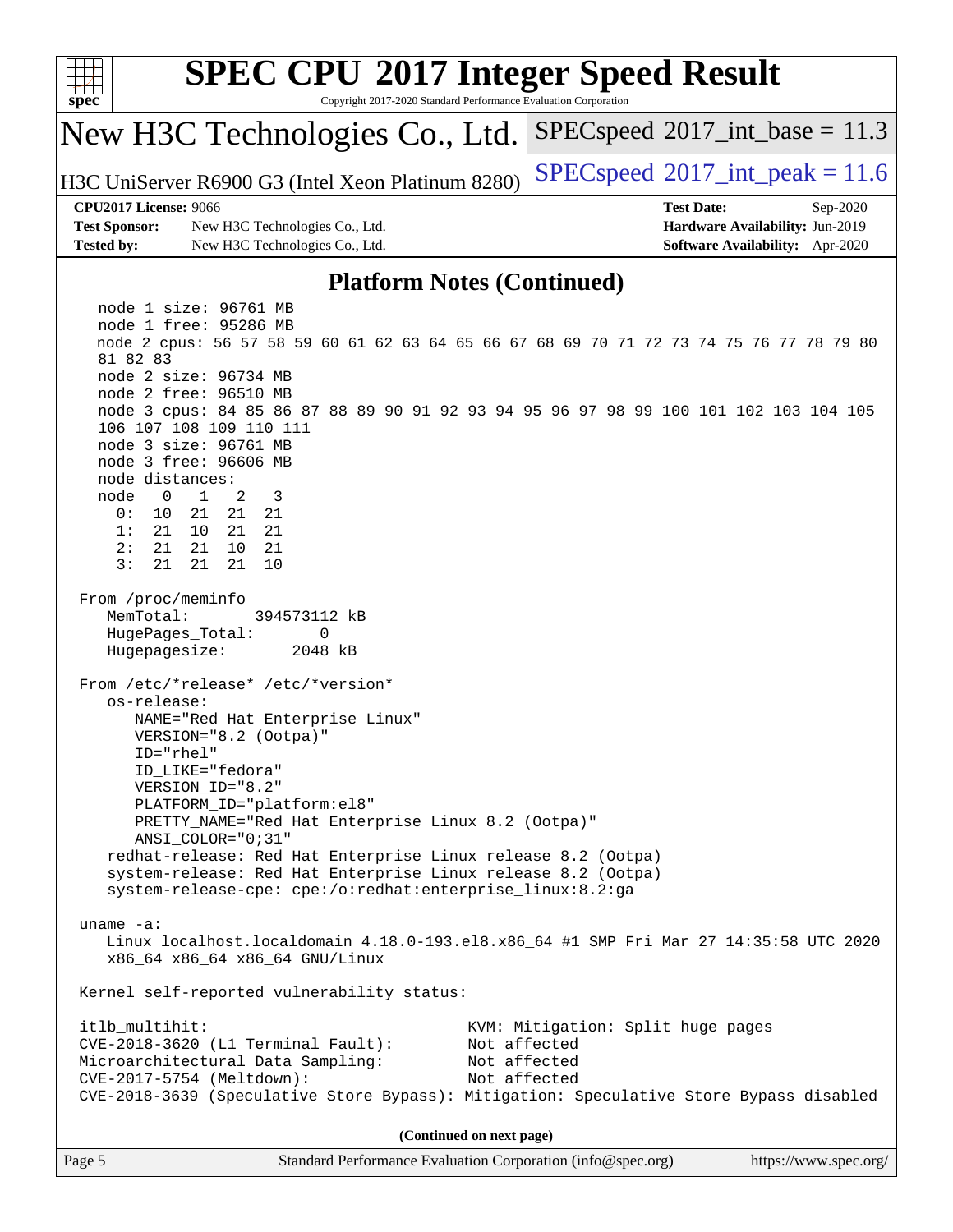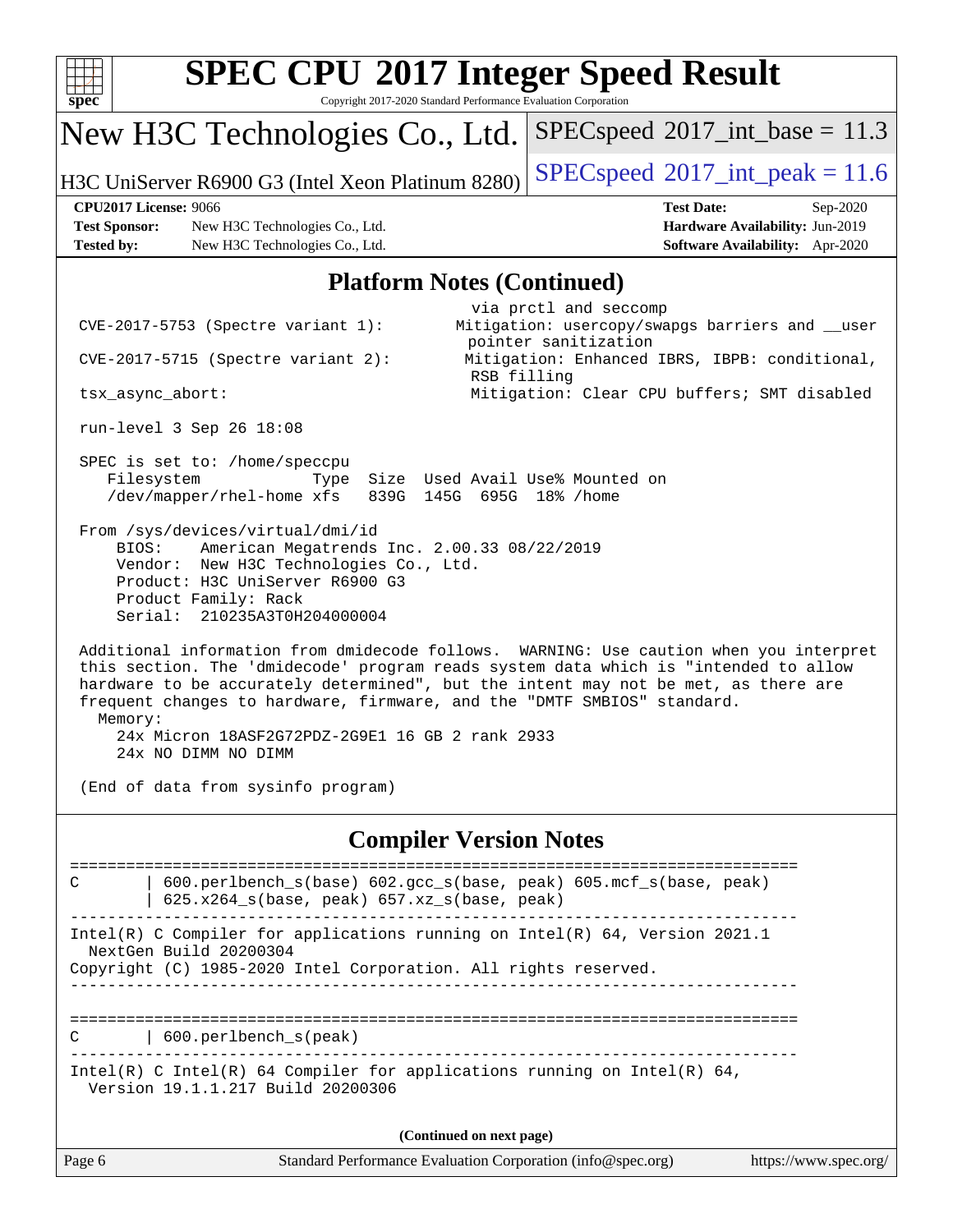| $\overline{\text{spec}^*}$                                                | Copyright 2017-2020 Standard Performance Evaluation Corporation                                                                                                                                                      | <b>SPEC CPU®2017 Integer Speed Result</b>                                                                                                                                                                                                                           |  |  |  |  |  |  |  |
|---------------------------------------------------------------------------|----------------------------------------------------------------------------------------------------------------------------------------------------------------------------------------------------------------------|---------------------------------------------------------------------------------------------------------------------------------------------------------------------------------------------------------------------------------------------------------------------|--|--|--|--|--|--|--|
|                                                                           | New H3C Technologies Co., Ltd.                                                                                                                                                                                       | $SPEC speed^{\circ}2017\_int\_base = 11.3$                                                                                                                                                                                                                          |  |  |  |  |  |  |  |
|                                                                           | H3C UniServer R6900 G3 (Intel Xeon Platinum 8280)                                                                                                                                                                    | $SPEC speed^{\circ}2017\_int\_peak = 11.6$                                                                                                                                                                                                                          |  |  |  |  |  |  |  |
| <b>CPU2017 License: 9066</b><br><b>Test Sponsor:</b><br><b>Tested by:</b> | New H3C Technologies Co., Ltd.<br>New H3C Technologies Co., Ltd.                                                                                                                                                     | <b>Test Date:</b><br>Sep-2020<br>Hardware Availability: Jun-2019<br>Software Availability: Apr-2020                                                                                                                                                                 |  |  |  |  |  |  |  |
|                                                                           | <b>Platform Notes (Continued)</b>                                                                                                                                                                                    |                                                                                                                                                                                                                                                                     |  |  |  |  |  |  |  |
| tsx_async_abort:                                                          | $CVE-2017-5753$ (Spectre variant 1):<br>CVE-2017-5715 (Spectre variant 2):<br>run-level 3 Sep 26 18:08                                                                                                               | via prctl and seccomp<br>Mitigation: usercopy/swapgs barriers and __user<br>pointer sanitization<br>Mitigation: Enhanced IBRS, IBPB: conditional,<br>RSB filling<br>Mitigation: Clear CPU buffers; SMT disabled                                                     |  |  |  |  |  |  |  |
| Filesystem                                                                | SPEC is set to: /home/speccpu<br>Type<br>/dev/mapper/rhel-home xfs<br>839G                                                                                                                                           | Size Used Avail Use% Mounted on<br>145G 695G 18% / home                                                                                                                                                                                                             |  |  |  |  |  |  |  |
| BIOS:                                                                     | From /sys/devices/virtual/dmi/id<br>American Megatrends Inc. 2.00.33 08/22/2019<br>Vendor: New H3C Technologies Co., Ltd.<br>Product: H3C UniServer R6900 G3<br>Product Family: Rack<br>Serial: 210235A3T0H204000004 |                                                                                                                                                                                                                                                                     |  |  |  |  |  |  |  |
| Memory:                                                                   | frequent changes to hardware, firmware, and the "DMTF SMBIOS" standard.<br>24x Micron 18ASF2G72PDZ-2G9E1 16 GB 2 rank 2933<br>24x NO DIMM NO DIMM                                                                    | Additional information from dmidecode follows. WARNING: Use caution when you interpret<br>this section. The 'dmidecode' program reads system data which is "intended to allow<br>hardware to be accurately determined", but the intent may not be met, as there are |  |  |  |  |  |  |  |
|                                                                           | (End of data from sysinfo program)                                                                                                                                                                                   |                                                                                                                                                                                                                                                                     |  |  |  |  |  |  |  |
|                                                                           |                                                                                                                                                                                                                      | <b>Compiler Version Notes</b>                                                                                                                                                                                                                                       |  |  |  |  |  |  |  |
| C                                                                         | 600.perlbench_s(base) 602.gcc_s(base, peak) 605.mcf_s(base, peak)<br>625.x264_s(base, peak) 657.xz_s(base, peak)                                                                                                     |                                                                                                                                                                                                                                                                     |  |  |  |  |  |  |  |
|                                                                           | Intel(R) C Compiler for applications running on Intel(R) 64, Version 2021.1<br>NextGen Build 20200304<br>Copyright (C) 1985-2020 Intel Corporation. All rights reserved.                                             |                                                                                                                                                                                                                                                                     |  |  |  |  |  |  |  |
|                                                                           | 600.perlbench_s(peak)                                                                                                                                                                                                |                                                                                                                                                                                                                                                                     |  |  |  |  |  |  |  |
|                                                                           | Intel(R) C Intel(R) 64 Compiler for applications running on Intel(R) 64,<br>Version 19.1.1.217 Build 20200306                                                                                                        |                                                                                                                                                                                                                                                                     |  |  |  |  |  |  |  |
|                                                                           | (Continued on next page)                                                                                                                                                                                             |                                                                                                                                                                                                                                                                     |  |  |  |  |  |  |  |
| Page 6                                                                    |                                                                                                                                                                                                                      | Standard Performance Evaluation Corporation (info@spec.org)<br>https://www.spec.org/                                                                                                                                                                                |  |  |  |  |  |  |  |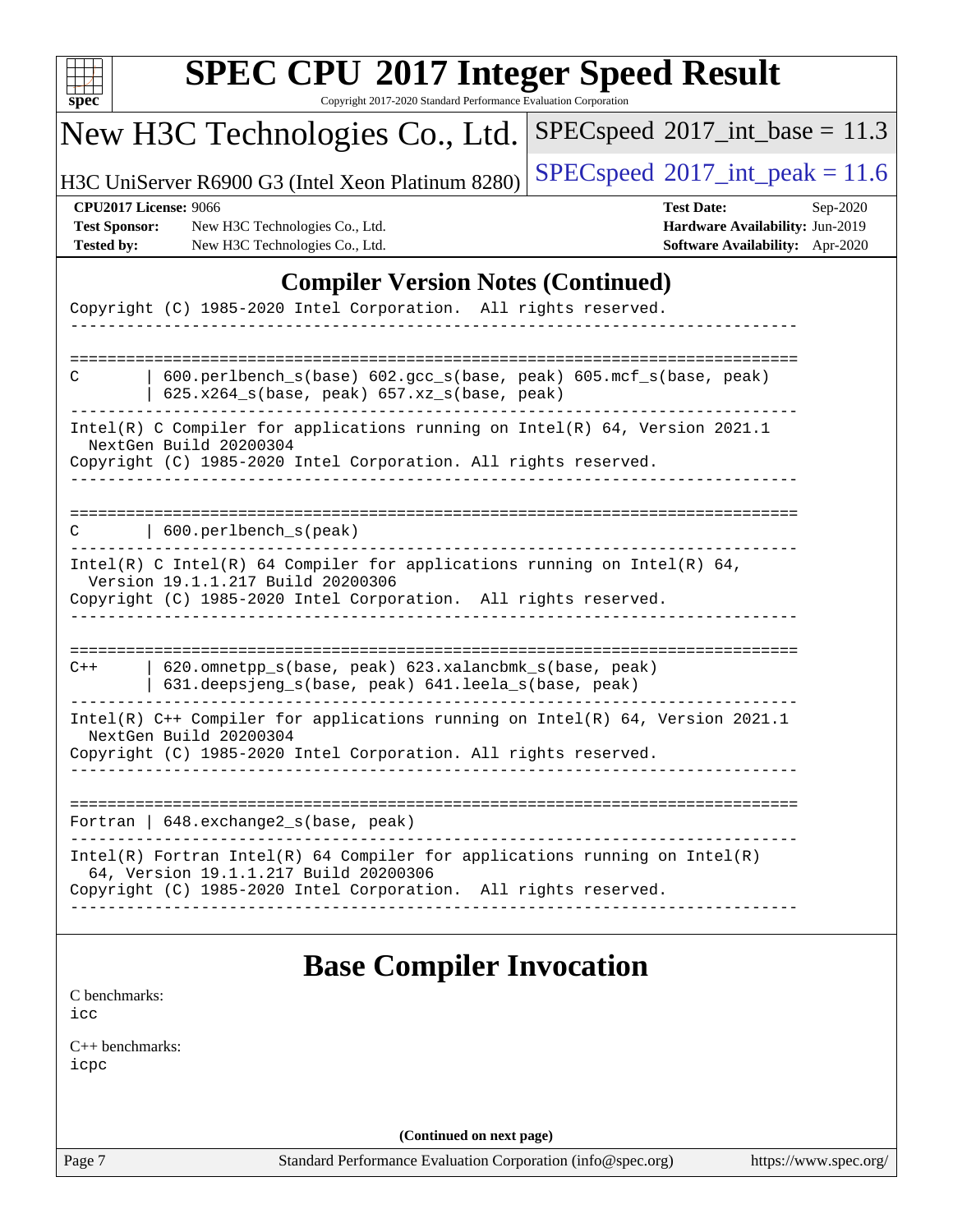| spec <sup>®</sup>                                    | <b>SPEC CPU®2017 Integer Speed Result</b><br>Copyright 2017-2020 Standard Performance Evaluation Corporation                                                                                                                                                                                        |                                                                                                     |
|------------------------------------------------------|-----------------------------------------------------------------------------------------------------------------------------------------------------------------------------------------------------------------------------------------------------------------------------------------------------|-----------------------------------------------------------------------------------------------------|
|                                                      | New H3C Technologies Co., Ltd.                                                                                                                                                                                                                                                                      | $SPEC speed^{\circ}2017\_int\_base = 11.3$                                                          |
|                                                      | H3C UniServer R6900 G3 (Intel Xeon Platinum 8280)                                                                                                                                                                                                                                                   | $SPEC speed^{\circ}2017\_int\_peak = 11.6$                                                          |
| <b>Test Sponsor:</b><br>Tested by:                   | <b>CPU2017 License: 9066</b><br>New H3C Technologies Co., Ltd.<br>New H3C Technologies Co., Ltd.                                                                                                                                                                                                    | <b>Test Date:</b><br>Sep-2020<br>Hardware Availability: Jun-2019<br>Software Availability: Apr-2020 |
|                                                      | <b>Compiler Version Notes (Continued)</b>                                                                                                                                                                                                                                                           |                                                                                                     |
|                                                      | Copyright (C) 1985-2020 Intel Corporation. All rights reserved.                                                                                                                                                                                                                                     |                                                                                                     |
| С                                                    | 600.perlbench_s(base) 602.gcc_s(base, peak) 605.mcf_s(base, peak)<br>$625.x264_s(base, peak)$ $657.xz_s(base, peak)$<br>Intel(R) C Compiler for applications running on Intel(R) $64$ , Version 2021.1<br>NextGen Build 20200304<br>Copyright (C) 1985-2020 Intel Corporation. All rights reserved. |                                                                                                     |
| C                                                    | 600.perlbench_s(peak)                                                                                                                                                                                                                                                                               |                                                                                                     |
|                                                      | Intel(R) C Intel(R) 64 Compiler for applications running on Intel(R) 64,<br>Version 19.1.1.217 Build 20200306<br>Copyright (C) 1985-2020 Intel Corporation. All rights reserved.                                                                                                                    |                                                                                                     |
| $C++$                                                | 620.omnetpp_s(base, peak) 623.xalancbmk_s(base, peak)<br>631.deepsjeng_s(base, peak) 641.leela_s(base, peak)                                                                                                                                                                                        |                                                                                                     |
|                                                      | Intel(R) C++ Compiler for applications running on Intel(R) 64, Version 2021.1<br>NextGen Build 20200304<br>Copyright (C) 1985-2020 Intel Corporation. All rights reserved.                                                                                                                          |                                                                                                     |
|                                                      | Fortran   648. exchange2_s(base, peak)                                                                                                                                                                                                                                                              |                                                                                                     |
|                                                      | $Intel(R)$ Fortran Intel(R) 64 Compiler for applications running on Intel(R)<br>64, Version 19.1.1.217 Build 20200306<br>Copyright (C) 1985-2020 Intel Corporation. All rights reserved.                                                                                                            |                                                                                                     |
| C benchmarks:<br>icc<br>$C_{++}$ benchmarks:<br>icpc | <b>Base Compiler Invocation</b>                                                                                                                                                                                                                                                                     |                                                                                                     |
|                                                      | (Continued on next page)                                                                                                                                                                                                                                                                            |                                                                                                     |
| Page 7                                               | Standard Performance Evaluation Corporation (info@spec.org)                                                                                                                                                                                                                                         | https://www.spec.org/                                                                               |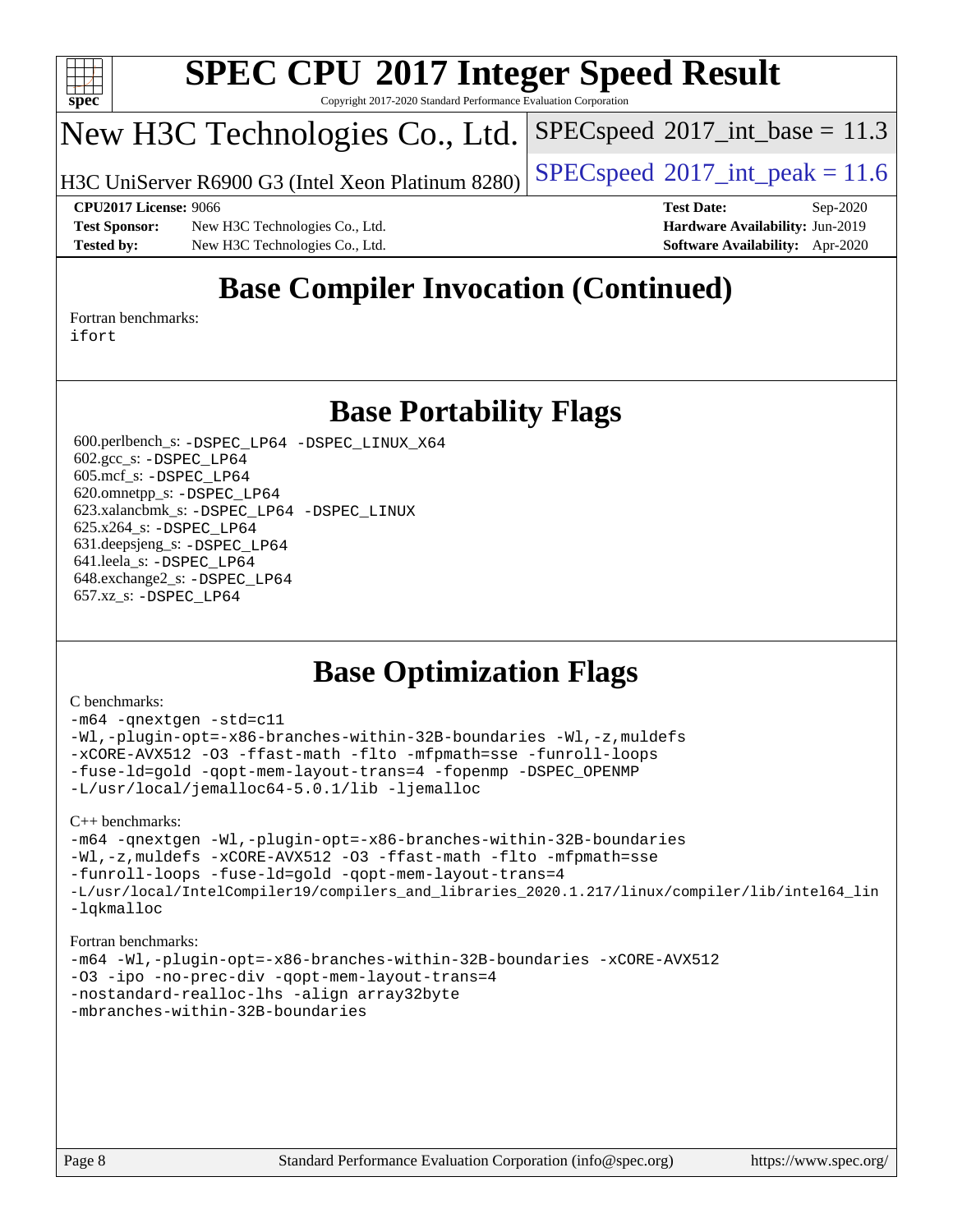

Copyright 2017-2020 Standard Performance Evaluation Corporation

## New H3C Technologies Co., Ltd.

H3C UniServer R6900 G3 (Intel Xeon Platinum 8280) [SPECspeed](http://www.spec.org/auto/cpu2017/Docs/result-fields.html#SPECspeed2017intpeak)®2017\_int\_peak =  $11.6$ 

 $SPECspeed^{\circ}2017\_int\_base = 11.3$  $SPECspeed^{\circ}2017\_int\_base = 11.3$ 

**[Test Sponsor:](http://www.spec.org/auto/cpu2017/Docs/result-fields.html#TestSponsor)** New H3C Technologies Co., Ltd. **[Hardware Availability:](http://www.spec.org/auto/cpu2017/Docs/result-fields.html#HardwareAvailability)** Jun-2019 **[Tested by:](http://www.spec.org/auto/cpu2017/Docs/result-fields.html#Testedby)** New H3C Technologies Co., Ltd. **[Software Availability:](http://www.spec.org/auto/cpu2017/Docs/result-fields.html#SoftwareAvailability)** Apr-2020

**[CPU2017 License:](http://www.spec.org/auto/cpu2017/Docs/result-fields.html#CPU2017License)** 9066 **[Test Date:](http://www.spec.org/auto/cpu2017/Docs/result-fields.html#TestDate)** Sep-2020

## **[Base Compiler Invocation \(Continued\)](http://www.spec.org/auto/cpu2017/Docs/result-fields.html#BaseCompilerInvocation)**

[Fortran benchmarks](http://www.spec.org/auto/cpu2017/Docs/result-fields.html#Fortranbenchmarks): [ifort](http://www.spec.org/cpu2017/results/res2020q4/cpu2017-20201014-24209.flags.html#user_FCbase_intel_ifort_8111460550e3ca792625aed983ce982f94888b8b503583aa7ba2b8303487b4d8a21a13e7191a45c5fd58ff318f48f9492884d4413fa793fd88dd292cad7027ca)

## **[Base Portability Flags](http://www.spec.org/auto/cpu2017/Docs/result-fields.html#BasePortabilityFlags)**

 600.perlbench\_s: [-DSPEC\\_LP64](http://www.spec.org/cpu2017/results/res2020q4/cpu2017-20201014-24209.flags.html#b600.perlbench_s_basePORTABILITY_DSPEC_LP64) [-DSPEC\\_LINUX\\_X64](http://www.spec.org/cpu2017/results/res2020q4/cpu2017-20201014-24209.flags.html#b600.perlbench_s_baseCPORTABILITY_DSPEC_LINUX_X64) 602.gcc\_s: [-DSPEC\\_LP64](http://www.spec.org/cpu2017/results/res2020q4/cpu2017-20201014-24209.flags.html#suite_basePORTABILITY602_gcc_s_DSPEC_LP64) 605.mcf\_s: [-DSPEC\\_LP64](http://www.spec.org/cpu2017/results/res2020q4/cpu2017-20201014-24209.flags.html#suite_basePORTABILITY605_mcf_s_DSPEC_LP64) 620.omnetpp\_s: [-DSPEC\\_LP64](http://www.spec.org/cpu2017/results/res2020q4/cpu2017-20201014-24209.flags.html#suite_basePORTABILITY620_omnetpp_s_DSPEC_LP64) 623.xalancbmk\_s: [-DSPEC\\_LP64](http://www.spec.org/cpu2017/results/res2020q4/cpu2017-20201014-24209.flags.html#suite_basePORTABILITY623_xalancbmk_s_DSPEC_LP64) [-DSPEC\\_LINUX](http://www.spec.org/cpu2017/results/res2020q4/cpu2017-20201014-24209.flags.html#b623.xalancbmk_s_baseCXXPORTABILITY_DSPEC_LINUX) 625.x264\_s: [-DSPEC\\_LP64](http://www.spec.org/cpu2017/results/res2020q4/cpu2017-20201014-24209.flags.html#suite_basePORTABILITY625_x264_s_DSPEC_LP64) 631.deepsjeng\_s: [-DSPEC\\_LP64](http://www.spec.org/cpu2017/results/res2020q4/cpu2017-20201014-24209.flags.html#suite_basePORTABILITY631_deepsjeng_s_DSPEC_LP64) 641.leela\_s: [-DSPEC\\_LP64](http://www.spec.org/cpu2017/results/res2020q4/cpu2017-20201014-24209.flags.html#suite_basePORTABILITY641_leela_s_DSPEC_LP64) 648.exchange2\_s: [-DSPEC\\_LP64](http://www.spec.org/cpu2017/results/res2020q4/cpu2017-20201014-24209.flags.html#suite_basePORTABILITY648_exchange2_s_DSPEC_LP64) 657.xz\_s: [-DSPEC\\_LP64](http://www.spec.org/cpu2017/results/res2020q4/cpu2017-20201014-24209.flags.html#suite_basePORTABILITY657_xz_s_DSPEC_LP64)

## **[Base Optimization Flags](http://www.spec.org/auto/cpu2017/Docs/result-fields.html#BaseOptimizationFlags)**

#### [C benchmarks](http://www.spec.org/auto/cpu2017/Docs/result-fields.html#Cbenchmarks):

[-m64](http://www.spec.org/cpu2017/results/res2020q4/cpu2017-20201014-24209.flags.html#user_CCbase_m64-icc) [-qnextgen](http://www.spec.org/cpu2017/results/res2020q4/cpu2017-20201014-24209.flags.html#user_CCbase_f-qnextgen) [-std=c11](http://www.spec.org/cpu2017/results/res2020q4/cpu2017-20201014-24209.flags.html#user_CCbase_std-icc-std_0e1c27790398a4642dfca32ffe6c27b5796f9c2d2676156f2e42c9c44eaad0c049b1cdb667a270c34d979996257aeb8fc440bfb01818dbc9357bd9d174cb8524) [-Wl,-plugin-opt=-x86-branches-within-32B-boundaries](http://www.spec.org/cpu2017/results/res2020q4/cpu2017-20201014-24209.flags.html#user_CCbase_f-x86-branches-within-32B-boundaries_0098b4e4317ae60947b7b728078a624952a08ac37a3c797dfb4ffeb399e0c61a9dd0f2f44ce917e9361fb9076ccb15e7824594512dd315205382d84209e912f3) [-Wl,-z,muldefs](http://www.spec.org/cpu2017/results/res2020q4/cpu2017-20201014-24209.flags.html#user_CCbase_link_force_multiple1_b4cbdb97b34bdee9ceefcfe54f4c8ea74255f0b02a4b23e853cdb0e18eb4525ac79b5a88067c842dd0ee6996c24547a27a4b99331201badda8798ef8a743f577) [-xCORE-AVX512](http://www.spec.org/cpu2017/results/res2020q4/cpu2017-20201014-24209.flags.html#user_CCbase_f-xCORE-AVX512) [-O3](http://www.spec.org/cpu2017/results/res2020q4/cpu2017-20201014-24209.flags.html#user_CCbase_f-O3) [-ffast-math](http://www.spec.org/cpu2017/results/res2020q4/cpu2017-20201014-24209.flags.html#user_CCbase_f-ffast-math) [-flto](http://www.spec.org/cpu2017/results/res2020q4/cpu2017-20201014-24209.flags.html#user_CCbase_f-flto) [-mfpmath=sse](http://www.spec.org/cpu2017/results/res2020q4/cpu2017-20201014-24209.flags.html#user_CCbase_f-mfpmath_70eb8fac26bde974f8ab713bc9086c5621c0b8d2f6c86f38af0bd7062540daf19db5f3a066d8c6684be05d84c9b6322eb3b5be6619d967835195b93d6c02afa1) [-funroll-loops](http://www.spec.org/cpu2017/results/res2020q4/cpu2017-20201014-24209.flags.html#user_CCbase_f-funroll-loops) [-fuse-ld=gold](http://www.spec.org/cpu2017/results/res2020q4/cpu2017-20201014-24209.flags.html#user_CCbase_f-fuse-ld_920b3586e2b8c6e0748b9c84fa9b744736ba725a32cab14ad8f3d4ad28eecb2f59d1144823d2e17006539a88734fe1fc08fc3035f7676166309105a78aaabc32) [-qopt-mem-layout-trans=4](http://www.spec.org/cpu2017/results/res2020q4/cpu2017-20201014-24209.flags.html#user_CCbase_f-qopt-mem-layout-trans_fa39e755916c150a61361b7846f310bcdf6f04e385ef281cadf3647acec3f0ae266d1a1d22d972a7087a248fd4e6ca390a3634700869573d231a252c784941a8) [-fopenmp](http://www.spec.org/cpu2017/results/res2020q4/cpu2017-20201014-24209.flags.html#user_CCbase_fopenmp_5aa2e47ce4f2ef030ba5d12d5a7a9c4e57167333d78243fcadb80b48d5abb78ff19333f8478e0b2a41e63049eb285965c145ccab7b93db7d0c4d59e4dc6f5591) [-DSPEC\\_OPENMP](http://www.spec.org/cpu2017/results/res2020q4/cpu2017-20201014-24209.flags.html#suite_CCbase_DSPEC_OPENMP) [-L/usr/local/jemalloc64-5.0.1/lib](http://www.spec.org/cpu2017/results/res2020q4/cpu2017-20201014-24209.flags.html#user_CCbase_jemalloc_link_path64_1_cc289568b1a6c0fd3b62c91b824c27fcb5af5e8098e6ad028160d21144ef1b8aef3170d2acf0bee98a8da324cfe4f67d0a3d0c4cc4673d993d694dc2a0df248b) [-ljemalloc](http://www.spec.org/cpu2017/results/res2020q4/cpu2017-20201014-24209.flags.html#user_CCbase_jemalloc_link_lib_d1249b907c500fa1c0672f44f562e3d0f79738ae9e3c4a9c376d49f265a04b9c99b167ecedbf6711b3085be911c67ff61f150a17b3472be731631ba4d0471706)

[C++ benchmarks:](http://www.spec.org/auto/cpu2017/Docs/result-fields.html#CXXbenchmarks)

```
-m64 -qnextgen -Wl,-plugin-opt=-x86-branches-within-32B-boundaries
-Wl,-z,muldefs -xCORE-AVX512 -O3 -ffast-math -flto -mfpmath=sse
-funroll-loops -fuse-ld=gold -qopt-mem-layout-trans=4
-L/usr/local/IntelCompiler19/compilers_and_libraries_2020.1.217/linux/compiler/lib/intel64_lin
-lqkmalloc
```
#### [Fortran benchmarks:](http://www.spec.org/auto/cpu2017/Docs/result-fields.html#Fortranbenchmarks)

```
-m64 -Wl,-plugin-opt=-x86-branches-within-32B-boundaries -xCORE-AVX512
-O3 -ipo -no-prec-div -qopt-mem-layout-trans=4
-nostandard-realloc-lhs -align array32byte
-mbranches-within-32B-boundaries
```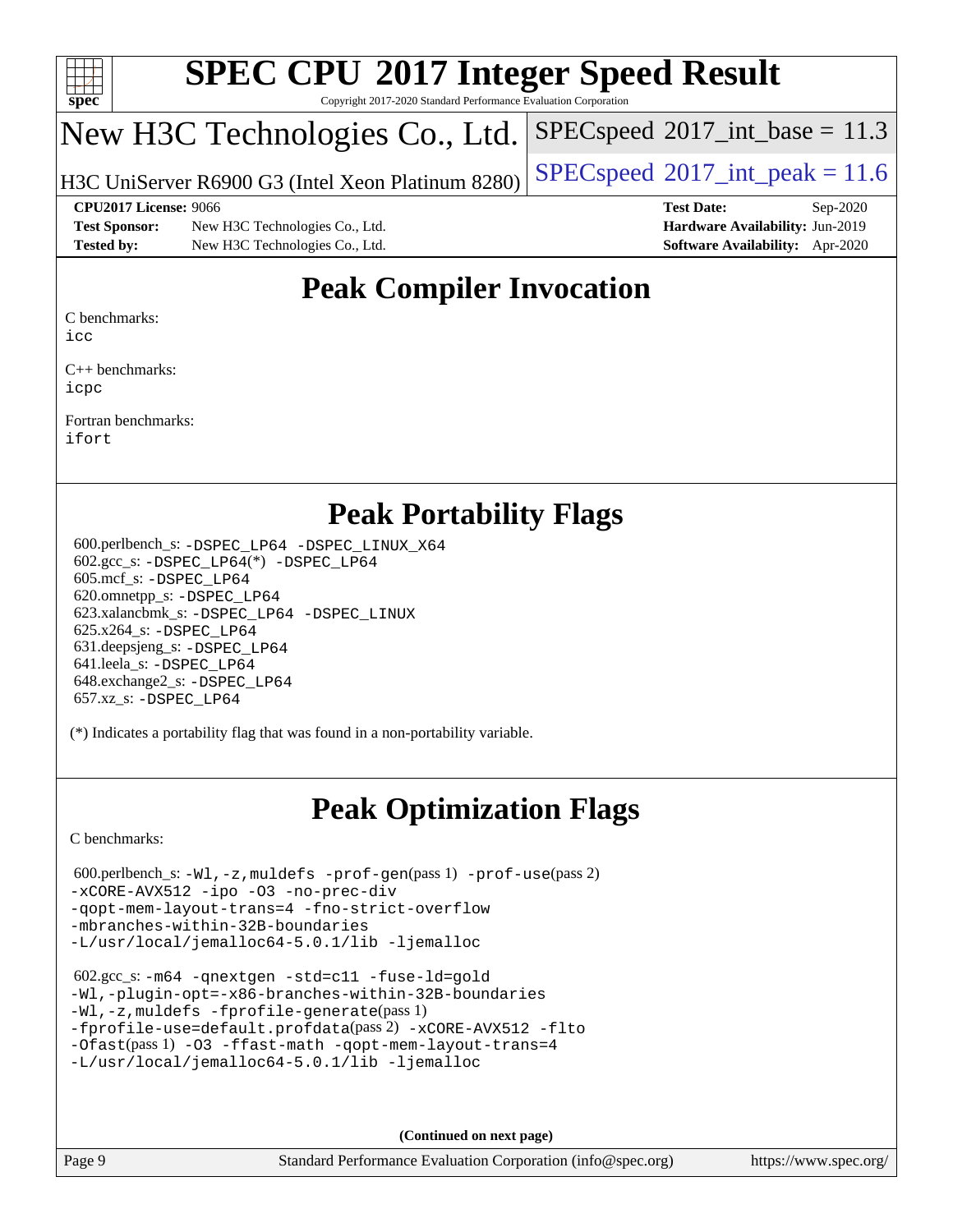

Copyright 2017-2020 Standard Performance Evaluation Corporation

## New H3C Technologies Co., Ltd.

H3C UniServer R6900 G3 (Intel Xeon Platinum 8280) [SPECspeed](http://www.spec.org/auto/cpu2017/Docs/result-fields.html#SPECspeed2017intpeak)®2017\_int\_peak =  $11.6$ 

 $SPECspeed^{\circledcirc}2017\_int\_base = 11.3$  $SPECspeed^{\circledcirc}2017\_int\_base = 11.3$ 

**[Test Sponsor:](http://www.spec.org/auto/cpu2017/Docs/result-fields.html#TestSponsor)** New H3C Technologies Co., Ltd. **[Hardware Availability:](http://www.spec.org/auto/cpu2017/Docs/result-fields.html#HardwareAvailability)** Jun-2019 **[Tested by:](http://www.spec.org/auto/cpu2017/Docs/result-fields.html#Testedby)** New H3C Technologies Co., Ltd. **[Software Availability:](http://www.spec.org/auto/cpu2017/Docs/result-fields.html#SoftwareAvailability)** Apr-2020

**[CPU2017 License:](http://www.spec.org/auto/cpu2017/Docs/result-fields.html#CPU2017License)** 9066 **[Test Date:](http://www.spec.org/auto/cpu2017/Docs/result-fields.html#TestDate)** Sep-2020

## **[Peak Compiler Invocation](http://www.spec.org/auto/cpu2017/Docs/result-fields.html#PeakCompilerInvocation)**

[C benchmarks](http://www.spec.org/auto/cpu2017/Docs/result-fields.html#Cbenchmarks):

[icc](http://www.spec.org/cpu2017/results/res2020q4/cpu2017-20201014-24209.flags.html#user_CCpeak_intel_icc_66fc1ee009f7361af1fbd72ca7dcefbb700085f36577c54f309893dd4ec40d12360134090235512931783d35fd58c0460139e722d5067c5574d8eaf2b3e37e92)

[C++ benchmarks:](http://www.spec.org/auto/cpu2017/Docs/result-fields.html#CXXbenchmarks) [icpc](http://www.spec.org/cpu2017/results/res2020q4/cpu2017-20201014-24209.flags.html#user_CXXpeak_intel_icpc_c510b6838c7f56d33e37e94d029a35b4a7bccf4766a728ee175e80a419847e808290a9b78be685c44ab727ea267ec2f070ec5dc83b407c0218cded6866a35d07)

[Fortran benchmarks](http://www.spec.org/auto/cpu2017/Docs/result-fields.html#Fortranbenchmarks): [ifort](http://www.spec.org/cpu2017/results/res2020q4/cpu2017-20201014-24209.flags.html#user_FCpeak_intel_ifort_8111460550e3ca792625aed983ce982f94888b8b503583aa7ba2b8303487b4d8a21a13e7191a45c5fd58ff318f48f9492884d4413fa793fd88dd292cad7027ca)

## **[Peak Portability Flags](http://www.spec.org/auto/cpu2017/Docs/result-fields.html#PeakPortabilityFlags)**

 600.perlbench\_s: [-DSPEC\\_LP64](http://www.spec.org/cpu2017/results/res2020q4/cpu2017-20201014-24209.flags.html#b600.perlbench_s_peakPORTABILITY_DSPEC_LP64) [-DSPEC\\_LINUX\\_X64](http://www.spec.org/cpu2017/results/res2020q4/cpu2017-20201014-24209.flags.html#b600.perlbench_s_peakCPORTABILITY_DSPEC_LINUX_X64) 602.gcc\_s: [-DSPEC\\_LP64](http://www.spec.org/cpu2017/results/res2020q4/cpu2017-20201014-24209.flags.html#suite_peakCCLD602_gcc_s_DSPEC_LP64)(\*) [-DSPEC\\_LP64](http://www.spec.org/cpu2017/results/res2020q4/cpu2017-20201014-24209.flags.html#suite_peakPORTABILITY602_gcc_s_DSPEC_LP64) 605.mcf\_s: [-DSPEC\\_LP64](http://www.spec.org/cpu2017/results/res2020q4/cpu2017-20201014-24209.flags.html#suite_peakPORTABILITY605_mcf_s_DSPEC_LP64) 620.omnetpp\_s: [-DSPEC\\_LP64](http://www.spec.org/cpu2017/results/res2020q4/cpu2017-20201014-24209.flags.html#suite_peakPORTABILITY620_omnetpp_s_DSPEC_LP64) 623.xalancbmk\_s: [-DSPEC\\_LP64](http://www.spec.org/cpu2017/results/res2020q4/cpu2017-20201014-24209.flags.html#suite_peakPORTABILITY623_xalancbmk_s_DSPEC_LP64) [-DSPEC\\_LINUX](http://www.spec.org/cpu2017/results/res2020q4/cpu2017-20201014-24209.flags.html#b623.xalancbmk_s_peakCXXPORTABILITY_DSPEC_LINUX) 625.x264\_s: [-DSPEC\\_LP64](http://www.spec.org/cpu2017/results/res2020q4/cpu2017-20201014-24209.flags.html#suite_peakPORTABILITY625_x264_s_DSPEC_LP64) 631.deepsjeng\_s: [-DSPEC\\_LP64](http://www.spec.org/cpu2017/results/res2020q4/cpu2017-20201014-24209.flags.html#suite_peakPORTABILITY631_deepsjeng_s_DSPEC_LP64) 641.leela\_s: [-DSPEC\\_LP64](http://www.spec.org/cpu2017/results/res2020q4/cpu2017-20201014-24209.flags.html#suite_peakPORTABILITY641_leela_s_DSPEC_LP64) 648.exchange2\_s: [-DSPEC\\_LP64](http://www.spec.org/cpu2017/results/res2020q4/cpu2017-20201014-24209.flags.html#suite_peakPORTABILITY648_exchange2_s_DSPEC_LP64) 657.xz\_s: [-DSPEC\\_LP64](http://www.spec.org/cpu2017/results/res2020q4/cpu2017-20201014-24209.flags.html#suite_peakPORTABILITY657_xz_s_DSPEC_LP64)

(\*) Indicates a portability flag that was found in a non-portability variable.

## **[Peak Optimization Flags](http://www.spec.org/auto/cpu2017/Docs/result-fields.html#PeakOptimizationFlags)**

[C benchmarks](http://www.spec.org/auto/cpu2017/Docs/result-fields.html#Cbenchmarks):

```
 600.perlbench_s: -Wl,-z,muldefs -prof-gen(pass 1) -prof-use(pass 2)
-xCORE-AVX512 -ipo -O3 -no-prec-div
-qopt-mem-layout-trans=4 -fno-strict-overflow
-mbranches-within-32B-boundaries
-L/usr/local/jemalloc64-5.0.1/lib -ljemalloc
```

```
 602.gcc_s: -m64 -qnextgen -std=c11 -fuse-ld=gold
-Wl,-plugin-opt=-x86-branches-within-32B-boundaries
-Wl,-z,muldefs -fprofile-generate(pass 1)
-fprofile-use=default.profdata(pass 2) -xCORE-AVX512 -flto
-Ofast(pass 1) -O3 -ffast-math -qopt-mem-layout-trans=4
-L/usr/local/jemalloc64-5.0.1/lib -ljemalloc
```
**(Continued on next page)**

Page 9 Standard Performance Evaluation Corporation [\(info@spec.org\)](mailto:info@spec.org) <https://www.spec.org/>